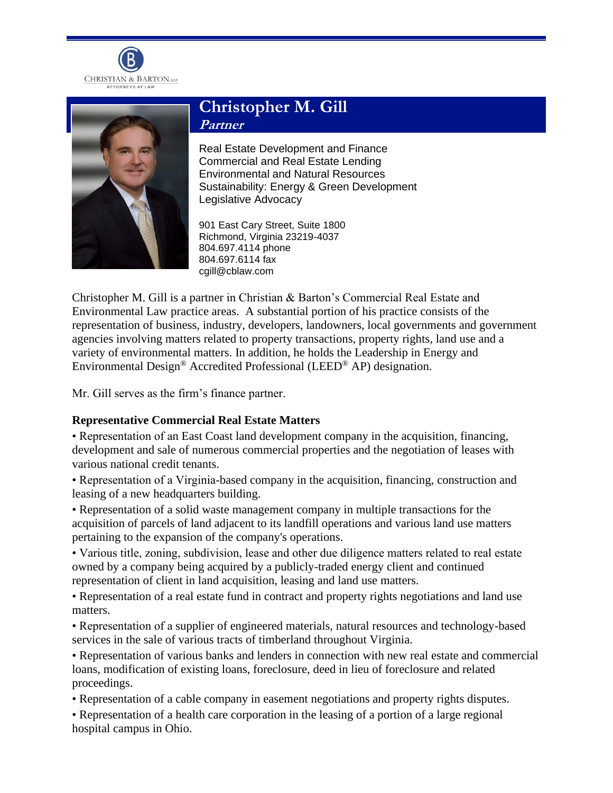



# **Christopher M. Gill Partner**

Real Estate Development and Finance Commercial and Real Estate Lending Environmental and Natural Resources Sustainability: Energy & Green Development Legislative Advocacy

901 East Cary Street, Suite 1800 Richmond, Virginia 23219-4037 804.697.4114 phone 804.697.6114 fax cgill@cblaw.com

Christopher M. Gill is a partner in Christian & Barton's Commercial Real Estate and Environmental Law practice areas. A substantial portion of his practice consists of the representation of business, industry, developers, landowners, local governments and government agencies involving matters related to property transactions, property rights, land use and a variety of environmental matters. In addition, he holds the Leadership in Energy and Environmental Design® Accredited Professional (LEED® AP) designation.

Mr. Gill serves as the firm's finance partner.

# **Representative Commercial Real Estate Matters**

• Representation of an East Coast land development company in the acquisition, financing, development and sale of numerous commercial properties and the negotiation of leases with various national credit tenants.

• Representation of a Virginia-based company in the acquisition, financing, construction and leasing of a new headquarters building.

• Representation of a solid waste management company in multiple transactions for the acquisition of parcels of land adjacent to its landfill operations and various land use matters pertaining to the expansion of the company's operations.

• Various title, zoning, subdivision, lease and other due diligence matters related to real estate owned by a company being acquired by a publicly-traded energy client and continued representation of client in land acquisition, leasing and land use matters.

• Representation of a real estate fund in contract and property rights negotiations and land use matters.

• Representation of a supplier of engineered materials, natural resources and technology-based services in the sale of various tracts of timberland throughout Virginia.

• Representation of various banks and lenders in connection with new real estate and commercial loans, modification of existing loans, foreclosure, deed in lieu of foreclosure and related proceedings.

• Representation of a cable company in easement negotiations and property rights disputes.

• Representation of a health care corporation in the leasing of a portion of a large regional hospital campus in Ohio.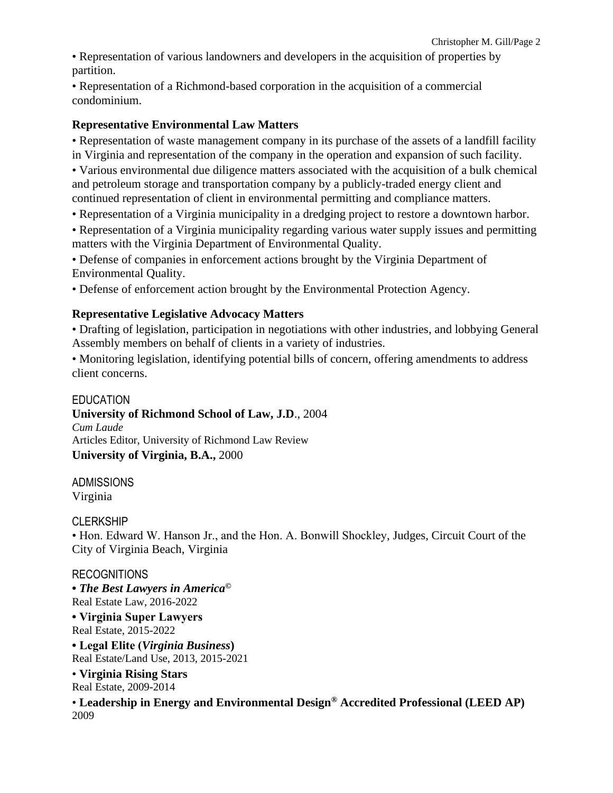• Representation of various landowners and developers in the acquisition of properties by partition.

• Representation of a Richmond-based corporation in the acquisition of a commercial condominium.

# **Representative Environmental Law Matters**

• Representation of waste management company in its purchase of the assets of a landfill facility in Virginia and representation of the company in the operation and expansion of such facility.

• Various environmental due diligence matters associated with the acquisition of a bulk chemical and petroleum storage and transportation company by a publicly-traded energy client and continued representation of client in environmental permitting and compliance matters.

• Representation of a Virginia municipality in a dredging project to restore a downtown harbor.

• Representation of a Virginia municipality regarding various water supply issues and permitting matters with the Virginia Department of Environmental Quality.

• Defense of companies in enforcement actions brought by the Virginia Department of Environmental Quality.

• Defense of enforcement action brought by the Environmental Protection Agency.

# **Representative Legislative Advocacy Matters**

• Drafting of legislation, participation in negotiations with other industries, and lobbying General Assembly members on behalf of clients in a variety of industries.

• Monitoring legislation, identifying potential bills of concern, offering amendments to address client concerns.

### **EDUCATION**

**University of Richmond School of Law, J.D**., 2004 *Cum Laude* Articles Editor, University of Richmond Law Review **University of Virginia, B.A.,** 2000

ADMISSIONS Virginia

#### **CLERKSHIP**

• Hon. Edward W. Hanson Jr., and the Hon. A. Bonwill Shockley, Judges, Circuit Court of the City of Virginia Beach, Virginia

#### RECOGNITIONS

**•** *The Best Lawyers in America©* Real Estate Law, 2016-2022

**• Virginia Super Lawyers** Real Estate, 2015-2022

**• Legal Elite (***Virginia Business***)** Real Estate/Land Use, 2013, 2015-2021

• **Virginia Rising Stars** Real Estate, 2009-2014

• **Leadership in Energy and Environmental Design® Accredited Professional (LEED AP)**  2009